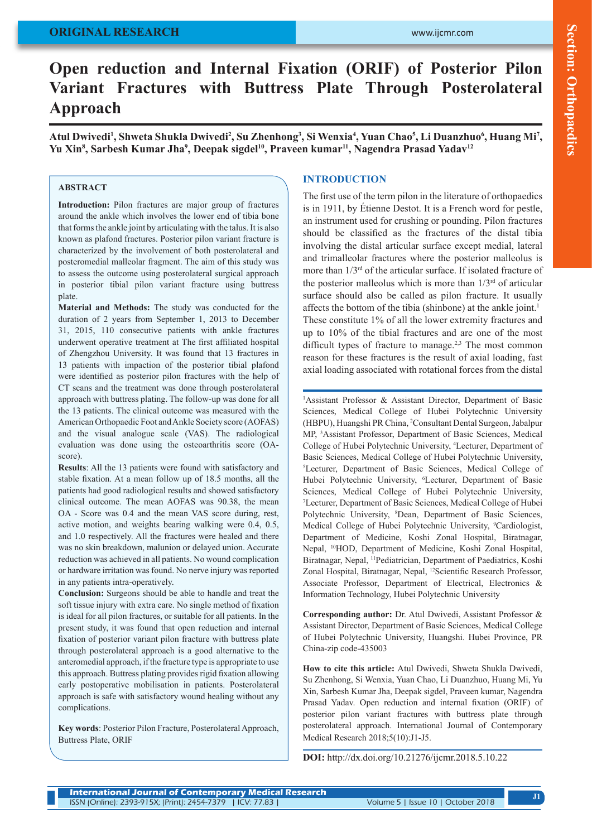# **ORIGINAL RESEARCH**

# Section: Orthopaedics **Section: Orthopaedics**

# **Open reduction and Internal Fixation (ORIF) of Posterior Pilon Variant Fractures with Buttress Plate Through Posterolateral Approach**

Atul Dwivedi<sup>1</sup>, Shweta Shukla Dwivedi<sup>2</sup>, Su Zhenhong<sup>3</sup>, Si Wenxia<sup>4</sup>, Yuan Chao<sup>5</sup>, Li Duanzhuo<sup>6</sup>, Huang Mi<sup>7</sup>, Yu Xin<sup>8</sup>, Sarbesh Kumar Jha<sup>9</sup>, Deepak sigdel<sup>10</sup>, Praveen kumar<sup>11</sup>, Nagendra Prasad Yadav<sup>12</sup>

#### **ABSTRACT**

**Introduction:** Pilon fractures are major group of fractures around the ankle which involves the lower end of tibia bone that forms the ankle joint by articulating with the talus. It is also known as plafond fractures. Posterior pilon variant fracture is characterized by the involvement of both posterolateral and posteromedial malleolar fragment. The aim of this study was to assess the outcome using posterolateral surgical approach in posterior tibial pilon variant fracture using buttress plate.

**Material and Methods:** The study was conducted for the duration of 2 years from September 1, 2013 to December 31, 2015, 110 consecutive patients with ankle fractures underwent operative treatment at The first affiliated hospital of Zhengzhou University. It was found that 13 fractures in 13 patients with impaction of the posterior tibial plafond were identified as posterior pilon fractures with the help of CT scans and the treatment was done through posterolateral approach with buttress plating. The follow-up was done for all the 13 patients. The clinical outcome was measured with the American Orthopaedic Foot and Ankle Society score (AOFAS) and the visual analogue scale (VAS). The radiological evaluation was done using the osteoarthritis score (OAscore).

**Results**: All the 13 patients were found with satisfactory and stable fixation. At a mean follow up of 18.5 months, all the patients had good radiological results and showed satisfactory clinical outcome. The mean AOFAS was 90.38, the mean OA - Score was 0.4 and the mean VAS score during, rest, active motion, and weights bearing walking were 0.4, 0.5, and 1.0 respectively. All the fractures were healed and there was no skin breakdown, malunion or delayed union. Accurate reduction was achieved in all patients. No wound complication or hardware irritation was found. No nerve injury was reported in any patients intra-operatively.

**Conclusion:** Surgeons should be able to handle and treat the soft tissue injury with extra care. No single method of fixation is ideal for all pilon fractures, or suitable for all patients. In the present study, it was found that open reduction and internal fixation of posterior variant pilon fracture with buttress plate through posterolateral approach is a good alternative to the anteromedial approach, if the fracture type is appropriate to use this approach. Buttress plating provides rigid fixation allowing early postoperative mobilisation in patients. Posterolateral approach is safe with satisfactory wound healing without any complications.

**Key words**: Posterior Pilon Fracture, Posterolateral Approach, Buttress Plate, ORIF

#### **INTRODUCTION**

The first use of the term pilon in the literature of orthopaedics is in 1911, by Étienne Destot. It is a French word for pestle, an instrument used for crushing or pounding. Pilon fractures should be classified as the fractures of the distal tibia involving the distal articular surface except medial, lateral and trimalleolar fractures where the posterior malleolus is more than 1/3rd of the articular surface. If isolated fracture of the posterior malleolus which is more than  $1/3<sup>rd</sup>$  of articular surface should also be called as pilon fracture. It usually affects the bottom of the tibia (shinbone) at the ankle joint.<sup>1</sup> These constitute 1% of all the lower extremity fractures and up to 10% of the tibial fractures and are one of the most difficult types of fracture to manage.<sup>2,3</sup> The most common reason for these fractures is the result of axial loading, fast axial loading associated with rotational forces from the distal

<sup>1</sup>Assistant Professor & Assistant Director, Department of Basic Sciences, Medical College of Hubei Polytechnic University (HBPU), Huangshi PR China, 2 Consultant Dental Surgeon, Jabalpur MP, 3 Assistant Professor, Department of Basic Sciences, Medical College of Hubei Polytechnic University, 4 Lecturer, Department of Basic Sciences, Medical College of Hubei Polytechnic University, 5 Lecturer, Department of Basic Sciences, Medical College of Hubei Polytechnic University, <sup>6</sup>Lecturer, Department of Basic Sciences, Medical College of Hubei Polytechnic University, 7 Lecturer, Department of Basic Sciences, Medical College of Hubei Polytechnic University, <sup>8</sup>Dean, Department of Basic Sciences, Medical College of Hubei Polytechnic University, <sup>9</sup>Cardiologist, Department of Medicine, Koshi Zonal Hospital, Biratnagar, Nepal, 10HOD, Department of Medicine, Koshi Zonal Hospital, Biratnagar, Nepal, 11Pediatrician, Department of Paediatrics, Koshi Zonal Hospital, Biratnagar, Nepal, 12Scientific Research Professor, Associate Professor, Department of Electrical, Electronics & Information Technology, Hubei Polytechnic University

**Corresponding author:** Dr. Atul Dwivedi, Assistant Professor & Assistant Director, Department of Basic Sciences, Medical College of Hubei Polytechnic University, Huangshi. Hubei Province, PR China-zip code-435003

**How to cite this article:** Atul Dwivedi, Shweta Shukla Dwivedi, Su Zhenhong, Si Wenxia, Yuan Chao, Li Duanzhuo, Huang Mi, Yu Xin, Sarbesh Kumar Jha, Deepak sigdel, Praveen kumar, Nagendra Prasad Yadav. Open reduction and internal fixation (ORIF) of posterior pilon variant fractures with buttress plate through posterolateral approach. International Journal of Contemporary Medical Research 2018;5(10):J1-J5.

**DOI:** http://dx.doi.org/10.21276/ijcmr.2018.5.10.22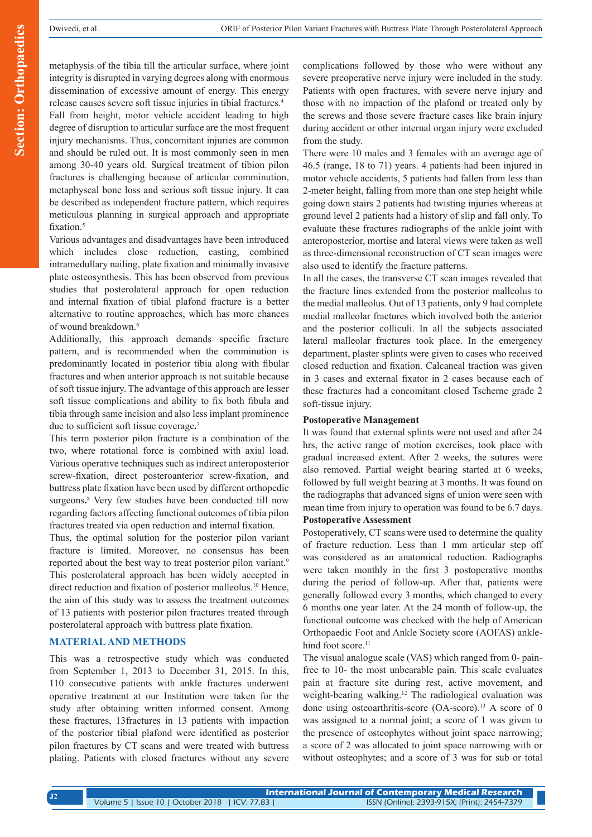metaphysis of the tibia till the articular surface, where joint integrity is disrupted in varying degrees along with enormous dissemination of excessive amount of energy. This energy release causes severe soft tissue injuries in tibial fractures.4

Fall from height, motor vehicle accident leading to high degree of disruption to articular surface are the most frequent injury mechanisms. Thus, concomitant injuries are common and should be ruled out. It is most commonly seen in men among 30-40 years old. Surgical treatment of tibion pilon fractures is challenging because of articular comminution, metaphyseal bone loss and serious soft tissue injury. It can be described as independent fracture pattern, which requires meticulous planning in surgical approach and appropriate fixation.<sup>5</sup>

Various advantages and disadvantages have been introduced which includes close reduction, casting, combined intramedullary nailing, plate fixation and minimally invasive plate osteosynthesis. This has been observed from previous studies that posterolateral approach for open reduction and internal fixation of tibial plafond fracture is a better alternative to routine approaches, which has more chances of wound breakdown.<sup>6</sup>

Additionally, this approach demands specific fracture pattern, and is recommended when the comminution is predominantly located in posterior tibia along with fibular fractures and when anterior approach is not suitable because of soft tissue injury. The advantage of this approach are lesser soft tissue complications and ability to fix both fibula and tibia through same incision and also less implant prominence due to sufficient soft tissue coverage**.** 7

This term posterior pilon fracture is a combination of the two, where rotational force is combined with axial load. Various operative techniques such as indirect anteroposterior screw-fixation, direct posteroanterior screw-fixation, and buttress plate fixation have been used by different orthopedic surgeons**.** 8 Very few studies have been conducted till now regarding factors affecting functional outcomes of tibia pilon fractures treated via open reduction and internal fixation.

Thus, the optimal solution for the posterior pilon variant fracture is limited. Moreover, no consensus has been reported about the best way to treat posterior pilon variant.<sup>9</sup> This posterolateral approach has been widely accepted in direct reduction and fixation of posterior malleolus.<sup>10</sup> Hence, the aim of this study was to assess the treatment outcomes of 13 patients with posterior pilon fractures treated through posterolateral approach with buttress plate fixation.

#### **MATERIAL AND METHODS**

This was a retrospective study which was conducted from September 1, 2013 to December 31, 2015. In this, 110 consecutive patients with ankle fractures underwent operative treatment at our Institution were taken for the study after obtaining written informed consent. Among these fractures, 13fractures in 13 patients with impaction of the posterior tibial plafond were identified as posterior pilon fractures by CT scans and were treated with buttress plating. Patients with closed fractures without any severe complications followed by those who were without any severe preoperative nerve injury were included in the study. Patients with open fractures, with severe nerve injury and those with no impaction of the plafond or treated only by the screws and those severe fracture cases like brain injury during accident or other internal organ injury were excluded from the study.

There were 10 males and 3 females with an average age of 46.5 (range, 18 to 71) years. 4 patients had been injured in motor vehicle accidents, 5 patients had fallen from less than 2-meter height, falling from more than one step height while going down stairs 2 patients had twisting injuries whereas at ground level 2 patients had a history of slip and fall only. To evaluate these fractures radiographs of the ankle joint with anteroposterior, mortise and lateral views were taken as well as three-dimensional reconstruction of CT scan images were also used to identify the fracture patterns.

In all the cases, the transverse CT scan images revealed that the fracture lines extended from the posterior malleolus to the medial malleolus. Out of 13 patients, only 9 had complete medial malleolar fractures which involved both the anterior and the posterior colliculi. In all the subjects associated lateral malleolar fractures took place. In the emergency department, plaster splints were given to cases who received closed reduction and fixation. Calcaneal traction was given in 3 cases and external fixator in 2 cases because each of these fractures had a concomitant closed Tscherne grade 2 soft-tissue injury.

#### **Postoperative Management**

It was found that external splints were not used and after 24 hrs, the active range of motion exercises, took place with gradual increased extent. After 2 weeks, the sutures were also removed. Partial weight bearing started at 6 weeks, followed by full weight bearing at 3 months. It was found on the radiographs that advanced signs of union were seen with mean time from injury to operation was found to be 6.7 days.

## **Postoperative Assessment**

Postoperatively, CT scans were used to determine the quality of fracture reduction. Less than 1 mm articular step off was considered as an anatomical reduction. Radiographs were taken monthly in the first 3 postoperative months during the period of follow-up. After that, patients were generally followed every 3 months, which changed to every 6 months one year later. At the 24 month of follow-up, the functional outcome was checked with the help of American Orthopaedic Foot and Ankle Society score (AOFAS) anklehind foot score.<sup>11</sup>

The visual analogue scale (VAS) which ranged from 0- painfree to 10- the most unbearable pain. This scale evaluates pain at fracture site during rest, active movement, and weight-bearing walking.<sup>12</sup> The radiological evaluation was done using osteoarthritis-score (OA-score).<sup>13</sup> A score of 0 was assigned to a normal joint; a score of 1 was given to the presence of osteophytes without joint space narrowing; a score of 2 was allocated to joint space narrowing with or without osteophytes; and a score of 3 was for sub or total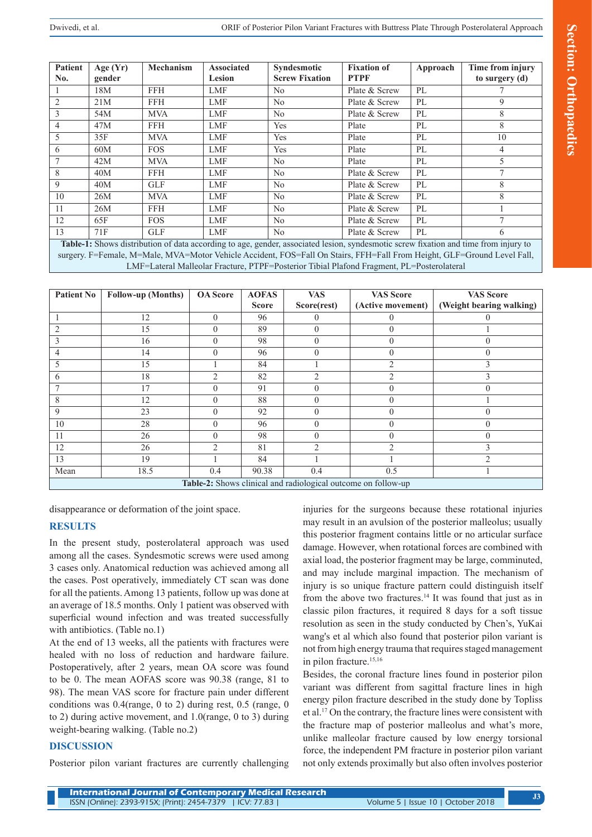| <b>Patient</b> | Age $(Yr)$ | Mechanism  | <b>Associated</b> | Syndesmotic           | <b>Fixation of</b> | Approach | Time from injury |
|----------------|------------|------------|-------------------|-----------------------|--------------------|----------|------------------|
| No.            | gender     |            | <b>Lesion</b>     | <b>Screw Fixation</b> | <b>PTPF</b>        |          | to surgery (d)   |
|                | 18M        | <b>FFH</b> | <b>LMF</b>        | No                    | Plate & Screw      | PL       |                  |
| $\overline{2}$ | 21M        | <b>FFH</b> | <b>LMF</b>        | No                    | Plate & Screw      | PL       | 9                |
| 3              | 54M        | <b>MVA</b> | <b>LMF</b>        | No                    | Plate & Screw      | PL       | 8                |
| $\overline{4}$ | 47M        | <b>FFH</b> | <b>LMF</b>        | Yes                   | Plate              | PL       | 8                |
| 5              | 35F        | <b>MVA</b> | <b>LMF</b>        | Yes                   | Plate              | PL       | 10               |
| 6              | 60M        | <b>FOS</b> | <b>LMF</b>        | Yes                   | Plate              | PL       | 4                |
| $\overline{7}$ | 42M        | <b>MVA</b> | <b>LMF</b>        | No                    | Plate              | PL       | 5                |
| 8              | 40M        | <b>FFH</b> | <b>LMF</b>        | No                    | Plate & Screw      | PL       | $\overline{ }$   |
| 9              | 40M        | <b>GLF</b> | <b>LMF</b>        | No                    | Plate & Screw      | PL       | 8                |
| 10             | 26M        | <b>MVA</b> | <b>LMF</b>        | N <sub>0</sub>        | Plate & Screw      | PL       | 8                |
| 11             | 26M        | <b>FFH</b> | <b>LMF</b>        | N <sub>0</sub>        | Plate & Screw      | PL       |                  |
| 12             | 65F        | <b>FOS</b> | <b>LMF</b>        | No                    | Plate & Screw      | PL       | $\overline{ }$   |
| 13             | 71F        | <b>GLF</b> | <b>LMF</b>        | No                    | Plate & Screw      | PL       | 6                |

**Table-1:** Shows distribution of data according to age, gender, associated lesion, syndesmotic screw fixation and time from injury to surgery. F=Female, M=Male, MVA=Motor Vehicle Accident, FOS=Fall On Stairs, FFH=Fall From Height, GLF=Ground Level Fall, LMF=Lateral Malleolar Fracture, PTPF=Posterior Tibial Plafond Fragment, PL=Posterolateral

| Patient No                                                    | <b>Follow-up (Months)</b> | <b>OA</b> Score | <b>AOFAS</b> | <b>VAS</b>              | <b>VAS Score</b>  | <b>VAS Score</b>         |  |  |  |
|---------------------------------------------------------------|---------------------------|-----------------|--------------|-------------------------|-------------------|--------------------------|--|--|--|
|                                                               |                           |                 | <b>Score</b> | Score(rest)             | (Active movement) | (Weight bearing walking) |  |  |  |
|                                                               | 12                        | $\theta$        | 96           | $\left( \right)$        |                   |                          |  |  |  |
|                                                               | 15                        | 0               | 89           | $\theta$                | $\theta$          |                          |  |  |  |
| 3                                                             | 16                        | 0               | 98           | $\theta$                | 0                 | $\theta$                 |  |  |  |
|                                                               | 14                        | 0               | 96           | $\theta$                | $\theta$          | $\Omega$                 |  |  |  |
|                                                               | 15                        |                 | 84           |                         | $\mathfrak{D}$    | 3                        |  |  |  |
| <sub>(</sub>                                                  | 18                        | 2               | 82           | $\mathcal{D}_{1}^{(1)}$ | 2                 | 3                        |  |  |  |
|                                                               | 17                        | 0               | 91           | $\theta$                | 0                 | $\Omega$                 |  |  |  |
| 8                                                             | 12                        | 0               | 88           | $\theta$                |                   |                          |  |  |  |
| 9                                                             | 23                        | 0               | 92           | $\theta$                | $\theta$          | $\theta$                 |  |  |  |
| 10                                                            | 28                        | 0               | 96           | $\theta$                | 0                 | $\Omega$                 |  |  |  |
| 11                                                            | 26                        | 0               | 98           | $\theta$                |                   | $\Omega$                 |  |  |  |
| 12                                                            | 26                        | $\mathfrak{D}$  | 81           | $\mathfrak{D}$          | $\overline{2}$    | $\mathbf{3}$             |  |  |  |
| 13                                                            | 19                        |                 | 84           |                         |                   | ∍                        |  |  |  |
| Mean                                                          | 18.5                      | 0.4             | 90.38        | 0.4                     | 0.5               |                          |  |  |  |
| Table-2: Shows clinical and radiological outcome on follow-up |                           |                 |              |                         |                   |                          |  |  |  |

disappearance or deformation of the joint space.

## **RESULTS**

In the present study, posterolateral approach was used among all the cases. Syndesmotic screws were used among 3 cases only. Anatomical reduction was achieved among all the cases. Post operatively, immediately CT scan was done for all the patients. Among 13 patients, follow up was done at an average of 18.5 months. Only 1 patient was observed with superficial wound infection and was treated successfully with antibiotics. (Table no.1)

At the end of 13 weeks, all the patients with fractures were healed with no loss of reduction and hardware failure. Postoperatively, after 2 years, mean OA score was found to be 0. The mean AOFAS score was 90.38 (range, 81 to 98). The mean VAS score for fracture pain under different conditions was 0.4(range, 0 to 2) during rest, 0.5 (range, 0 to 2) during active movement, and 1.0(range, 0 to 3) during weight-bearing walking. (Table no.2)

## **DISCUSSION**

Posterior pilon variant fractures are currently challenging

injuries for the surgeons because these rotational injuries may result in an avulsion of the posterior malleolus; usually this posterior fragment contains little or no articular surface damage. However, when rotational forces are combined with axial load, the posterior fragment may be large, comminuted, and may include marginal impaction. The mechanism of injury is so unique fracture pattern could distinguish itself from the above two fractures.<sup>14</sup> It was found that just as in classic pilon fractures, it required 8 days for a soft tissue resolution as seen in the study conducted by Chen's, YuKai wang's et al which also found that posterior pilon variant is not from high energy trauma that requires staged management in pilon fracture.<sup>15,16</sup>

Besides, the coronal fracture lines found in posterior pilon variant was different from sagittal fracture lines in high energy pilon fracture described in the study done by Topliss et al.17 On the contrary, the fracture lines were consistent with the fracture map of posterior malleolus and what's more, unlike malleolar fracture caused by low energy torsional force, the independent PM fracture in posterior pilon variant not only extends proximally but also often involves posterior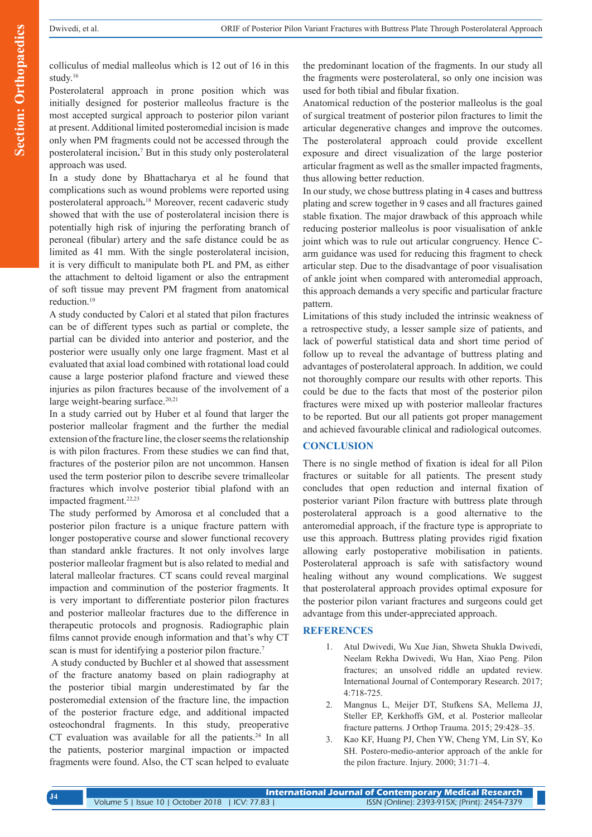**Section: Orthopaedics Section: Orthopaedics**

colliculus of medial malleolus which is 12 out of 16 in this study.16

Posterolateral approach in prone position which was initially designed for posterior malleolus fracture is the most accepted surgical approach to posterior pilon variant at present. Additional limited posteromedial incision is made only when PM fragments could not be accessed through the posterolateral incision**.** 7 But in this study only posterolateral approach was used.

In a study done by Bhattacharya et al he found that complications such as wound problems were reported using posterolateral approach**.** <sup>18</sup> Moreover, recent cadaveric study showed that with the use of posterolateral incision there is potentially high risk of injuring the perforating branch of peroneal (fibular) artery and the safe distance could be as limited as 41 mm. With the single posterolateral incision, it is very difficult to manipulate both PL and PM, as either the attachment to deltoid ligament or also the entrapment of soft tissue may prevent PM fragment from anatomical reduction.19

A study conducted by Calori et al stated that pilon fractures can be of different types such as partial or complete, the partial can be divided into anterior and posterior, and the posterior were usually only one large fragment. Mast et al evaluated that axial load combined with rotational load could cause a large posterior plafond fracture and viewed these injuries as pilon fractures because of the involvement of a large weight-bearing surface. $20,21$ 

In a study carried out by Huber et al found that larger the posterior malleolar fragment and the further the medial extension of the fracture line, the closer seems the relationship is with pilon fractures. From these studies we can find that, fractures of the posterior pilon are not uncommon. Hansen used the term posterior pilon to describe severe trimalleolar fractures which involve posterior tibial plafond with an impacted fragment.22,23

The study performed by Amorosa et al concluded that a posterior pilon fracture is a unique fracture pattern with longer postoperative course and slower functional recovery than standard ankle fractures. It not only involves large posterior malleolar fragment but is also related to medial and lateral malleolar fractures. CT scans could reveal marginal impaction and comminution of the posterior fragments. It is very important to differentiate posterior pilon fractures and posterior malleolar fractures due to the difference in therapeutic protocols and prognosis. Radiographic plain films cannot provide enough information and that's why CT scan is must for identifying a posterior pilon fracture.<sup>7</sup>

 A study conducted by Buchler et al showed that assessment of the fracture anatomy based on plain radiography at the posterior tibial margin underestimated by far the posteromedial extension of the fracture line, the impaction of the posterior fracture edge, and additional impacted osteochondral fragments. In this study, preoperative CT evaluation was available for all the patients.<sup>24</sup> In all the patients, posterior marginal impaction or impacted fragments were found. Also, the CT scan helped to evaluate the predominant location of the fragments. In our study all the fragments were posterolateral, so only one incision was used for both tibial and fibular fixation.

Anatomical reduction of the posterior malleolus is the goal of surgical treatment of posterior pilon fractures to limit the articular degenerative changes and improve the outcomes. The posterolateral approach could provide excellent exposure and direct visualization of the large posterior articular fragment as well as the smaller impacted fragments, thus allowing better reduction.

In our study, we chose buttress plating in 4 cases and buttress plating and screw together in 9 cases and all fractures gained stable fixation. The major drawback of this approach while reducing posterior malleolus is poor visualisation of ankle joint which was to rule out articular congruency. Hence Carm guidance was used for reducing this fragment to check articular step. Due to the disadvantage of poor visualisation of ankle joint when compared with anteromedial approach, this approach demands a very specific and particular fracture pattern.

Limitations of this study included the intrinsic weakness of a retrospective study, a lesser sample size of patients, and lack of powerful statistical data and short time period of follow up to reveal the advantage of buttress plating and advantages of posterolateral approach. In addition, we could not thoroughly compare our results with other reports. This could be due to the facts that most of the posterior pilon fractures were mixed up with posterior malleolar fractures to be reported. But our all patients got proper management and achieved favourable clinical and radiological outcomes.

# **CONCLUSION**

There is no single method of fixation is ideal for all Pilon fractures or suitable for all patients. The present study concludes that open reduction and internal fixation of posterior variant Pilon fracture with buttress plate through posterolateral approach is a good alternative to the anteromedial approach, if the fracture type is appropriate to use this approach. Buttress plating provides rigid fixation allowing early postoperative mobilisation in patients. Posterolateral approach is safe with satisfactory wound healing without any wound complications. We suggest that posterolateral approach provides optimal exposure for the posterior pilon variant fractures and surgeons could get advantage from this under-appreciated approach.

## **REFERENCES**

- 1. Atul Dwivedi, Wu Xue Jian, Shweta Shukla Dwivedi, Neelam Rekha Dwivedi, Wu Han, Xiao Peng. Pilon fractures; an unsolved riddle an updated review. International Journal of Contemporary Research. 2017; 4:718-725.
- 2. Mangnus L, Meijer DT, Stufkens SA, Mellema JJ, Steller EP, Kerkhoffs GM, et al. Posterior malleolar fracture patterns. J Orthop Trauma. 2015; 29:428–35.
- 3. Kao KF, Huang PJ, Chen YW, Cheng YM, Lin SY, Ko SH. Postero-medio-anterior approach of the ankle for the pilon fracture. Injury. 2000; 31:71–4.